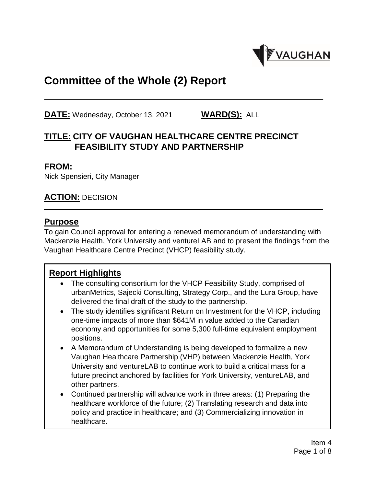

# **Committee of the Whole (2) Report**

**DATE:** Wednesday, October 13, 2021 **WARD(S):** ALL

## **TITLE: CITY OF VAUGHAN HEALTHCARE CENTRE PRECINCT FEASIBILITY STUDY AND PARTNERSHIP**

#### **FROM:**

Nick Spensieri, City Manager

### **ACTION:** DECISION

#### **Purpose**

To gain Council approval for entering a renewed memorandum of understanding with Mackenzie Health, York University and ventureLAB and to present the findings from the Vaughan Healthcare Centre Precinct (VHCP) feasibility study.

### **Report Highlights**

- The consulting consortium for the VHCP Feasibility Study, comprised of urbanMetrics, Sajecki Consulting, Strategy Corp., and the Lura Group, have delivered the final draft of the study to the partnership.
- The study identifies significant Return on Investment for the VHCP, including one-time impacts of more than \$641M in value added to the Canadian economy and opportunities for some 5,300 full-time equivalent employment positions.
- A Memorandum of Understanding is being developed to formalize a new Vaughan Healthcare Partnership (VHP) between Mackenzie Health, York University and ventureLAB to continue work to build a critical mass for a future precinct anchored by facilities for York University, ventureLAB, and other partners.
- Continued partnership will advance work in three areas: (1) Preparing the healthcare workforce of the future; (2) Translating research and data into policy and practice in healthcare; and (3) Commercializing innovation in healthcare.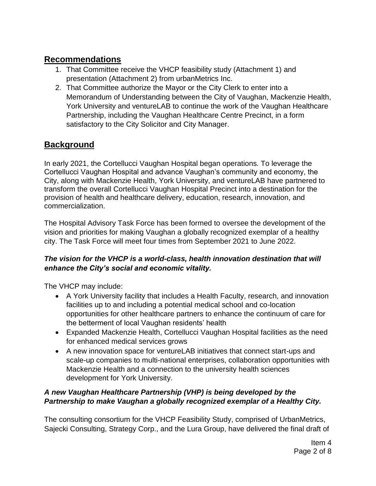## **Recommendations**

- 1. That Committee receive the VHCP feasibility study (Attachment 1) and presentation (Attachment 2) from urbanMetrics Inc.
- 2. That Committee authorize the Mayor or the City Clerk to enter into a Memorandum of Understanding between the City of Vaughan, Mackenzie Health, York University and ventureLAB to continue the work of the Vaughan Healthcare Partnership, including the Vaughan Healthcare Centre Precinct, in a form satisfactory to the City Solicitor and City Manager.

## **Background**

In early 2021, the Cortellucci Vaughan Hospital began operations. To leverage the Cortellucci Vaughan Hospital and advance Vaughan's community and economy, the City, along with Mackenzie Health, York University, and ventureLAB have partnered to transform the overall Cortellucci Vaughan Hospital Precinct into a destination for the provision of health and healthcare delivery, education, research, innovation, and commercialization.

The Hospital Advisory Task Force has been formed to oversee the development of the vision and priorities for making Vaughan a globally recognized exemplar of a healthy city. The Task Force will meet four times from September 2021 to June 2022.

### *The vision for the VHCP is a world-class, health innovation destination that will enhance the City's social and economic vitality.*

The VHCP may include:

- A York University facility that includes a Health Faculty, research, and innovation facilities up to and including a potential medical school and co-location opportunities for other healthcare partners to enhance the continuum of care for the betterment of local Vaughan residents' health
- Expanded Mackenzie Health, Cortellucci Vaughan Hospital facilities as the need for enhanced medical services grows
- A new innovation space for ventureLAB initiatives that connect start-ups and scale-up companies to multi-national enterprises, collaboration opportunities with Mackenzie Health and a connection to the university health sciences development for York University.

### *A new Vaughan Healthcare Partnership (VHP) is being developed by the Partnership to make Vaughan a globally recognized exemplar of a Healthy City.*

The consulting consortium for the VHCP Feasibility Study, comprised of UrbanMetrics, Sajecki Consulting, Strategy Corp., and the Lura Group, have delivered the final draft of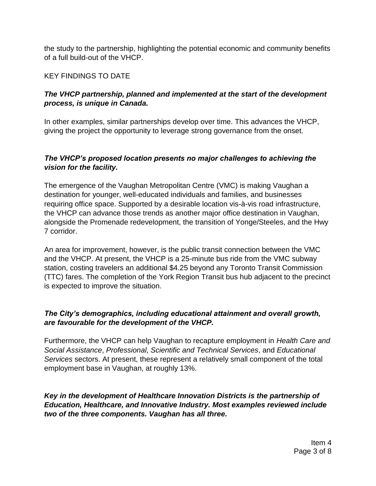the study to the partnership, highlighting the potential economic and community benefits of a full build-out of the VHCP.

#### KEY FINDINGS TO DATE

#### *The VHCP partnership, planned and implemented at the start of the development process, is unique in Canada.*

In other examples, similar partnerships develop over time. This advances the VHCP, giving the project the opportunity to leverage strong governance from the onset.

### *The VHCP's proposed location presents no major challenges to achieving the vision for the facility.*

The emergence of the Vaughan Metropolitan Centre (VMC) is making Vaughan a destination for younger, well-educated individuals and families, and businesses requiring office space. Supported by a desirable location vis-à-vis road infrastructure, the VHCP can advance those trends as another major office destination in Vaughan, alongside the Promenade redevelopment, the transition of Yonge/Steeles, and the Hwy 7 corridor.

An area for improvement, however, is the public transit connection between the VMC and the VHCP. At present, the VHCP is a 25-minute bus ride from the VMC subway station, costing travelers an additional \$4.25 beyond any Toronto Transit Commission (TTC) fares. The completion of the York Region Transit bus hub adjacent to the precinct is expected to improve the situation.

#### *The City's demographics, including educational attainment and overall growth, are favourable for the development of the VHCP.*

Furthermore, the VHCP can help Vaughan to recapture employment in *Health Care and Social Assistance*, *Professional, Scientific and Technical Services*, and *Educational Services* sectors. At present, these represent a relatively small component of the total employment base in Vaughan, at roughly 13%.

#### *Key in the development of Healthcare Innovation Districts is the partnership of Education, Healthcare, and Innovative Industry. Most examples reviewed include two of the three components. Vaughan has all three.*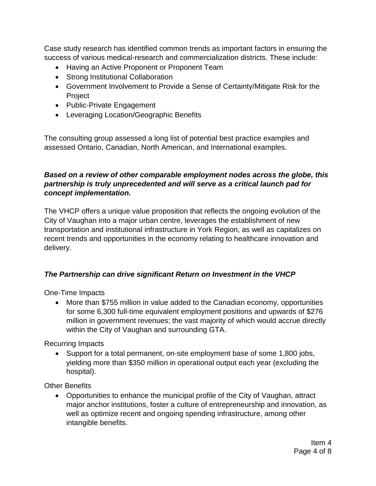Case study research has identified common trends as important factors in ensuring the success of various medical-research and commercialization districts. These include:

- Having an Active Proponent or Proponent Team
- Strong Institutional Collaboration
- Government Involvement to Provide a Sense of Certainty/Mitigate Risk for the Project
- Public-Private Engagement
- Leveraging Location/Geographic Benefits

The consulting group assessed a long list of potential best practice examples and assessed Ontario, Canadian, North American, and International examples.

#### *Based on a review of other comparable employment nodes across the globe, this partnership is truly unprecedented and will serve as a critical launch pad for concept implementation.*

The VHCP offers a unique value proposition that reflects the ongoing evolution of the City of Vaughan into a major urban centre, leverages the establishment of new transportation and institutional infrastructure in York Region, as well as capitalizes on recent trends and opportunities in the economy relating to healthcare innovation and delivery.

### *The Partnership can drive significant Return on Investment in the VHCP*

One-Time Impacts

 More than \$755 million in value added to the Canadian economy, opportunities for some 6,300 full-time equivalent employment positions and upwards of \$276 million in government revenues; the vast majority of which would accrue directly within the City of Vaughan and surrounding GTA.

Recurring Impacts

• Support for a total permanent, on-site employment base of some 1,800 jobs, yielding more than \$350 million in operational output each year (excluding the hospital).

Other Benefits

 Opportunities to enhance the municipal profile of the City of Vaughan, attract major anchor institutions, foster a culture of entrepreneurship and innovation, as well as optimize recent and ongoing spending infrastructure, among other intangible benefits.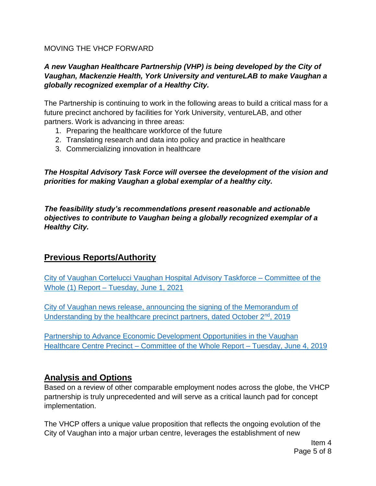#### MOVING THE VHCP FORWARD

#### *A new Vaughan Healthcare Partnership (VHP) is being developed by the City of Vaughan, Mackenzie Health, York University and ventureLAB to make Vaughan a globally recognized exemplar of a Healthy City.*

The Partnership is continuing to work in the following areas to build a critical mass for a future precinct anchored by facilities for York University, ventureLAB, and other partners. Work is advancing in three areas:

- 1. Preparing the healthcare workforce of the future
- 2. Translating research and data into policy and practice in healthcare
- 3. Commercializing innovation in healthcare

*The Hospital Advisory Task Force will oversee the development of the vision and priorities for making Vaughan a global exemplar of a healthy city.*

*The feasibility study's recommendations present reasonable and actionable objectives to contribute to Vaughan being a globally recognized exemplar of a Healthy City.*

### **Previous Reports/Authority**

City of Vaughan Cortelucci [Vaughan Hospital Advisory Taskforce –](https://pub-vaughan.escribemeetings.com/filestream.ashx?DocumentId=77650) Committee of the Whole (1) Report – [Tuesday, June 1, 2021](https://pub-vaughan.escribemeetings.com/filestream.ashx?DocumentId=77650)

[City of Vaughan news release, announcing the signing of the Memorandum of](https://www.vaughan.ca/news/Pages/A-groundbreaking-collaboration-puts-healthcare-in-Vaughan-at-the-forefront.aspx)  [Understanding by the healthcare precinct partners, dated October 2](https://www.vaughan.ca/news/Pages/A-groundbreaking-collaboration-puts-healthcare-in-Vaughan-at-the-forefront.aspx)<sup>nd</sup>, 2019

[Partnership to Advance Economic Development Opportunities in the Vaughan](https://pub-vaughan.escribemeetings.com/filestream.ashx?DocumentId=18595)  Healthcare Centre Precinct – [Committee of the Whole Report –](https://pub-vaughan.escribemeetings.com/filestream.ashx?DocumentId=18595) Tuesday, June 4, 2019

### **Analysis and Options**

Based on a review of other comparable employment nodes across the globe, the VHCP partnership is truly unprecedented and will serve as a critical launch pad for concept implementation.

The VHCP offers a unique value proposition that reflects the ongoing evolution of the City of Vaughan into a major urban centre, leverages the establishment of new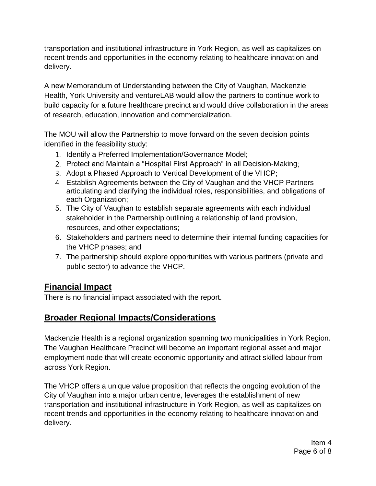transportation and institutional infrastructure in York Region, as well as capitalizes on recent trends and opportunities in the economy relating to healthcare innovation and delivery.

A new Memorandum of Understanding between the City of Vaughan, Mackenzie Health, York University and ventureLAB would allow the partners to continue work to build capacity for a future healthcare precinct and would drive collaboration in the areas of research, education, innovation and commercialization.

The MOU will allow the Partnership to move forward on the seven decision points identified in the feasibility study:

- 1. Identify a Preferred Implementation/Governance Model;
- 2. Protect and Maintain a "Hospital First Approach" in all Decision-Making;
- 3. Adopt a Phased Approach to Vertical Development of the VHCP;
- 4. Establish Agreements between the City of Vaughan and the VHCP Partners articulating and clarifying the individual roles, responsibilities, and obligations of each Organization;
- 5. The City of Vaughan to establish separate agreements with each individual stakeholder in the Partnership outlining a relationship of land provision, resources, and other expectations;
- 6. Stakeholders and partners need to determine their internal funding capacities for the VHCP phases; and
- 7. The partnership should explore opportunities with various partners (private and public sector) to advance the VHCP.

## **Financial Impact**

There is no financial impact associated with the report.

## **Broader Regional Impacts/Considerations**

Mackenzie Health is a regional organization spanning two municipalities in York Region. The Vaughan Healthcare Precinct will become an important regional asset and major employment node that will create economic opportunity and attract skilled labour from across York Region.

The VHCP offers a unique value proposition that reflects the ongoing evolution of the City of Vaughan into a major urban centre, leverages the establishment of new transportation and institutional infrastructure in York Region, as well as capitalizes on recent trends and opportunities in the economy relating to healthcare innovation and delivery.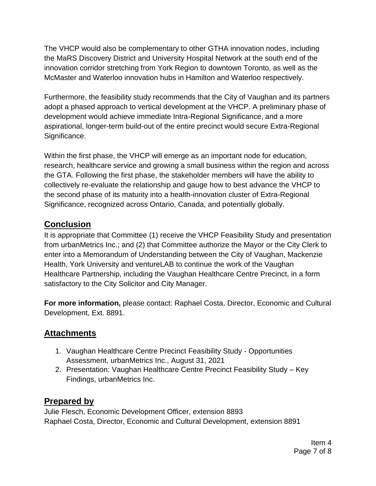The VHCP would also be complementary to other GTHA innovation nodes, including the MaRS Discovery District and University Hospital Network at the south end of the innovation corridor stretching from York Region to downtown Toronto, as well as the McMaster and Waterloo innovation hubs in Hamilton and Waterloo respectively.

Furthermore, the feasibility study recommends that the City of Vaughan and its partners adopt a phased approach to vertical development at the VHCP. A preliminary phase of development would achieve immediate Intra-Regional Significance, and a more aspirational, longer-term build-out of the entire precinct would secure Extra-Regional Significance.

Within the first phase, the VHCP will emerge as an important node for education, research, healthcare service and growing a small business within the region and across the GTA. Following the first phase, the stakeholder members will have the ability to collectively re-evaluate the relationship and gauge how to best advance the VHCP to the second phase of its maturity into a health-innovation cluster of Extra-Regional Significance, recognized across Ontario, Canada, and potentially globally.

## **Conclusion**

It is appropriate that Committee (1) receive the VHCP Feasibility Study and presentation from urbanMetrics Inc.; and (2) that Committee authorize the Mayor or the City Clerk to enter into a Memorandum of Understanding between the City of Vaughan, Mackenzie Health, York University and ventureLAB to continue the work of the Vaughan Healthcare Partnership, including the Vaughan Healthcare Centre Precinct, in a form satisfactory to the City Solicitor and City Manager.

**For more information,** please contact: Raphael Costa, Director, Economic and Cultural Development, Ext. 8891.

## **Attachments**

- 1. Vaughan Healthcare Centre Precinct Feasibility Study Opportunities Assessment, urbanMetrics Inc., August 31, 2021
- 2. Presentation: Vaughan Healthcare Centre Precinct Feasibility Study Key Findings, urbanMetrics Inc.

## **Prepared by**

Julie Flesch, Economic Development Officer, extension 8893 Raphael Costa, Director, Economic and Cultural Development, extension 8891